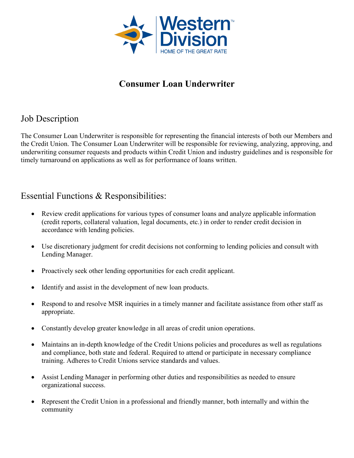

# **Consumer Loan Underwriter**

# Job Description

The Consumer Loan Underwriter is responsible for representing the financial interests of both our Members and the Credit Union. The Consumer Loan Underwriter will be responsible for reviewing, analyzing, approving, and underwriting consumer requests and products within Credit Union and industry guidelines and is responsible for timely turnaround on applications as well as for performance of loans written.

#### Essential Functions & Responsibilities:

- Review credit applications for various types of consumer loans and analyze applicable information (credit reports, collateral valuation, legal documents, etc.) in order to render credit decision in accordance with lending policies.
- Use discretionary judgment for credit decisions not conforming to lending policies and consult with Lending Manager.
- Proactively seek other lending opportunities for each credit applicant.
- Identify and assist in the development of new loan products.
- Respond to and resolve MSR inquiries in a timely manner and facilitate assistance from other staff as appropriate.
- Constantly develop greater knowledge in all areas of credit union operations.
- Maintains an in-depth knowledge of the Credit Unions policies and procedures as well as regulations and compliance, both state and federal. Required to attend or participate in necessary compliance training. Adheres to Credit Unions service standards and values.
- Assist Lending Manager in performing other duties and responsibilities as needed to ensure organizational success.
- Represent the Credit Union in a professional and friendly manner, both internally and within the community